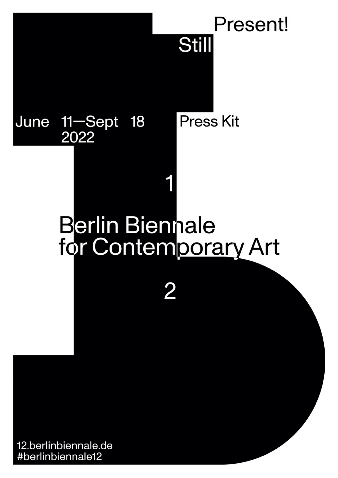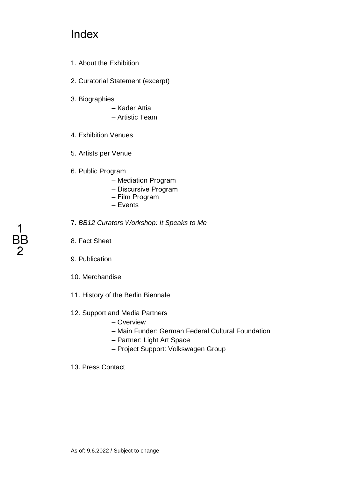## **Index**

- 1. About the Exhibition
- 2. Curatorial Statement (excerpt)
- 3. Biographies
	- Kader Attia
	- Artistic Team
- 4. Exhibition Venues
- 5. Artists per Venue
- 6. Public Program
	- Mediation Program
	- Discursive Program
	- Film Program
	- Events
- 7. *BB12 Curators Workshop: It Speaks to Me*
- 8. Fact Sheet
- 9. Publication
- 10. Merchandise
- 11. History of the Berlin Biennale
- 12. Support and Media Partners
	- Overview
	- Main Funder: German Federal Cultural Foundation
	- Partner: Light Art Space
	- Project Support: Volkswagen Group
- 13. Press Contact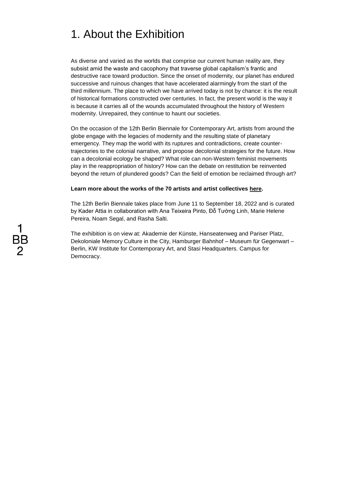## 1. About the Exhibition

As diverse and varied as the worlds that comprise our current human reality are, they subsist amid the waste and cacophony that traverse global capitalism's frantic and destructive race toward production. Since the onset of modernity, our planet has endured successive and ruinous changes that have accelerated alarmingly from the start of the third millennium. The place to which we have arrived today is not by chance: it is the result of historical formations constructed over centuries. In fact, the present world is the way it is because it carries all of the wounds accumulated throughout the history of Western modernity. Unrepaired, they continue to haunt our societies.

On the occasion of the 12th Berlin Biennale for Contemporary Art, artists from around the globe engage with the legacies of modernity and the resulting state of planetary emergency. They map the world with its ruptures and contradictions, create countertrajectories to the colonial narrative, and propose decolonial strategies for the future. How can a decolonial ecology be shaped? What role can non-Western feminist movements play in the reappropriation of history? How can the debate on restitution be reinvented beyond the return of plundered goods? Can the field of emotion be reclaimed through art?

### **Learn more about the works of the 70 artists and artist collectives [here.](https://12.berlinbiennale.de/artists)**

The 12th Berlin Biennale takes place from June 11 to September 18, 2022 and is curated by Kader Attia in collaboration with Ana Teixeira Pinto, Đỗ Tường Linh, Marie Helene Pereira, Noam Segal, and Rasha Salti.

The exhibition is on view at: Akademie der Künste, Hanseatenweg and Pariser Platz, Dekoloniale Memory Culture in the City, Hamburger Bahnhof – Museum für Gegenwart – Berlin, KW Institute for Contemporary Art, and Stasi Headquarters. Campus for Democracy.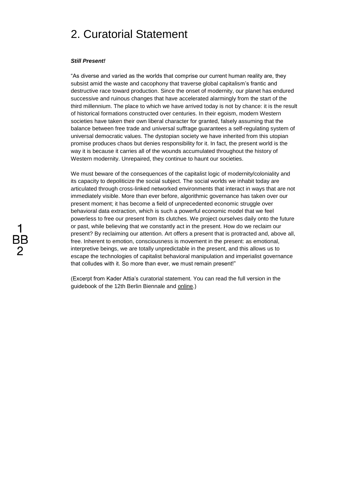## 2. Curatorial Statement

#### *Still Present!*

"As diverse and varied as the worlds that comprise our current human reality are, they subsist amid the waste and cacophony that traverse global capitalism's frantic and destructive race toward production. Since the onset of modernity, our planet has endured successive and ruinous changes that have accelerated alarmingly from the start of the third millennium. The place to which we have arrived today is not by chance: it is the result of historical formations constructed over centuries. In their egoism, modern Western societies have taken their own liberal character for granted, falsely assuming that the balance between free trade and universal suffrage guarantees a self-regulating system of universal democratic values. The dystopian society we have inherited from this utopian promise produces chaos but denies responsibility for it. In fact, the present world is the way it is because it carries all of the wounds accumulated throughout the history of Western modernity. Unrepaired, they continue to haunt our societies.

We must beware of the consequences of the capitalist logic of modernity/coloniality and its capacity to depoliticize the social subject. The social worlds we inhabit today are articulated through cross-linked networked environments that interact in ways that are not immediately visible. More than ever before, algorithmic governance has taken over our present moment; it has become a field of unprecedented economic struggle over behavioral data extraction, which is such a powerful economic model that we feel powerless to free our present from its clutches. We project ourselves daily onto the future or past, while believing that we constantly act in the present. How do we reclaim our present? By reclaiming our attention. Art offers a present that is protracted and, above all, free. Inherent to emotion, consciousness is movement in the present: as emotional, interpretive beings, we are totally unpredictable in the present, and this allows us to escape the technologies of capitalist behavioral manipulation and imperialist governance that colludes with it. So more than ever, we must remain present!"

(Excerpt from Kader Attia's curatorial statement. You can read the full version in the guidebook of the 12th Berlin Biennale and [online.](https://12.berlinbiennale.de/wp-content/uploads/2022/06/BB12_Pressemappe_Curatorial-Statement_EN.pdf?x64946))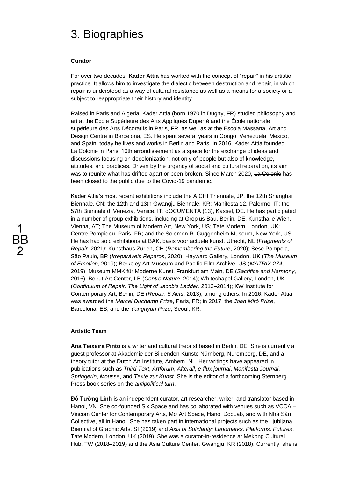## 3. Biographies

### **Curator**

For over two decades, **Kader Attia** has worked with the concept of "repair" in his artistic practice. It allows him to investigate the dialectic between destruction and repair, in which repair is understood as a way of cultural resistance as well as a means for a society or a subject to reappropriate their history and identity.

Raised in Paris and Algeria, Kader Attia (born 1970 in Dugny, FR) studied philosophy and art at the École Supérieure des Arts Appliqués Duperré and the École nationale supérieure des Arts Décoratifs in Paris, FR, as well as at the Escola Massana, Art and Design Centre in Barcelona, ES. He spent several years in Congo, Venezuela, Mexico, and Spain; today he lives and works in Berlin and Paris. In 2016, Kader Attia founded La Colonie in Paris' 10th arrondissement as a space for the exchange of ideas and discussions focusing on decolonization, not only of people but also of knowledge, attitudes, and practices. Driven by the urgency of social and cultural reparation, its aim was to reunite what has drifted apart or been broken. Since March 2020, La Colonie has been closed to the public due to the Covid-19 pandemic.

Kader Attia's most recent exhibitions include the AICHI Triennale, JP, the 12th Shanghai Biennale, CN; the 12th and 13th Gwangju Biennale, KR; Manifesta 12, Palermo, IT; the 57th Biennale di Venezia, Venice, IT; dOCUMENTA (13), Kassel, DE. He has participated in a number of group exhibitions, including at Gropius Bau, Berlin, DE, Kunsthalle Wien, Vienna, AT; The Museum of Modern Art, New York, US; Tate Modern, London, UK; Centre Pompidou, Paris, FR; and the Solomon R. Guggenheim Museum, New York, US. He has had solo exhibitions at BAK, basis voor actuele kunst, Utrecht, NL (*Fragments of Repair,* 2021*)*; Kunsthaus Zürich, CH (*Remembering the Future*, 2020); Sesc Pompeia, São Paulo, BR (*Irreparáveis Reparos*, 2020); Hayward Gallery, London, UK (*The Museum of Emotion*, 2019); Berkeley Art Museum and Pacific Film Archive, US (*MATRIX 274*, 2019); Museum MMK für Moderne Kunst, Frankfurt am Main, DE (*Sacrifice and Harmony*, 2016); Beirut Art Center, LB (*Contre Nature*, 2014); Whitechapel Gallery, London, UK (*Continuum of Repair: The Light of Jacob's Ladder,* 2013–2014); KW Institute for Contemporary Art, Berlin, DE (*Repair. 5 Acts*, 2013); among others. In 2016, Kader Attia was awarded the *Marcel Duchamp Prize*, Paris, FR; in 2017, the *Joan Miró Prize*, Barcelona, ES; and the *Yanghyun Prize*, Seoul, KR.

#### **Artistic Team**

**Ana Teixeira Pinto** is a writer and cultural theorist based in Berlin, DE. She is currently a guest professor at Akademie der Bildenden Künste Nürnberg, Nuremberg, DE, and a theory tutor at the Dutch Art Institute, Arnhem, NL. Her writings have appeared in publications such as *Third Text*, *Artforum*, *Afterall*, *e-flux journal*, *Manifesta Journal*, *Springerin*, *Mousse*, and *Texte zur Kunst*. She is the editor of a forthcoming Sternberg Press book series on the *antipolitical turn*.

**Đỗ Tường Linh** is an independent curator, art researcher, writer, and translator based in Hanoi, VN. She co-founded Six Space and has collaborated with venues such as VCCA – Vincom Center for Contemporary Arts, Mơ Art Space, Hanoi DocLab, and with Nhà Sàn Collective, all in Hanoi. She has taken part in international projects such as the Ljubljana Biennial of Graphic Arts, SI (2019) and *Axis of Solidarity: Landmarks, Platforms, Futures*, Tate Modern, London, UK (2019). She was a curator-in-residence at Mekong Cultural Hub, TW (2018–2019) and the Asia Culture Center, Gwangju, KR (2018). Currently, she is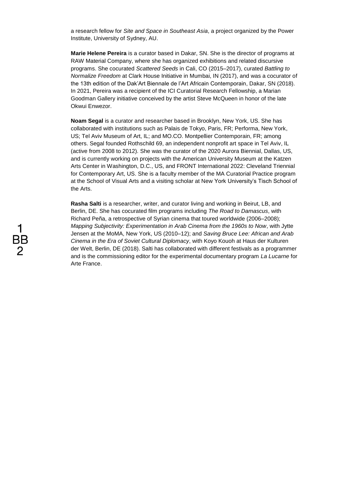a research fellow for *Site and Space in Southeast Asia*, a project organized by the Power Institute, University of Sydney, AU.

**Marie Helene Pereira** is a curator based in Dakar, SN. She is the director of programs at RAW Material Company, where she has organized exhibitions and related discursive programs. She cocurated *Scattered Seeds* in Cali, CO (2015–2017), curated *Battling to Normalize Freedom* at Clark House Initiative in Mumbai, IN (2017), and was a cocurator of the 13th edition of the Dak'Art Biennale de l'Art Africain Contemporain, Dakar, SN (2018). In 2021, Pereira was a recipient of the ICI Curatorial Research Fellowship, a Marian Goodman Gallery initiative conceived by the artist Steve McQueen in honor of the late Okwui Enwezor.

**Noam Segal** is a curator and researcher based in Brooklyn, New York, US. She has collaborated with institutions such as Palais de Tokyo, Paris, FR; Performa, New York, US; Tel Aviv Museum of Art, IL; and MO.CO. Montpellier Contemporain, FR; among others. Segal founded Rothschild 69, an independent nonprofit art space in Tel Aviv, IL (active from 2008 to 2012). She was the curator of the 2020 Aurora Biennial, Dallas, US, and is currently working on projects with the American University Museum at the Katzen Arts Center in Washington, D.C., US, and FRONT International 2022: Cleveland Triennial for Contemporary Art, US. She is a faculty member of the MA Curatorial Practice program at the School of Visual Arts and a visiting scholar at New York University's Tisch School of the Arts.

**Rasha Salti** is a researcher, writer, and curator living and working in Beirut, LB, and Berlin, DE. She has cocurated film programs including *The Road to Damascus*, with Richard Peña, a retrospective of Syrian cinema that toured worldwide (2006–2008); *Mapping Subjectivity: Experimentation in Arab Cinema from the 1960s to Now*, with Jytte Jensen at the MoMA, New York, US (2010–12); and *Saving Bruce Lee: African and Arab Cinema in the Era of Soviet Cultural Diplomacy*, with Koyo Kouoh at Haus der Kulturen der Welt, Berlin, DE (2018). Salti has collaborated with different festivals as a programmer and is the commissioning editor for the experimental documentary program *La Lucarne* for Arte France.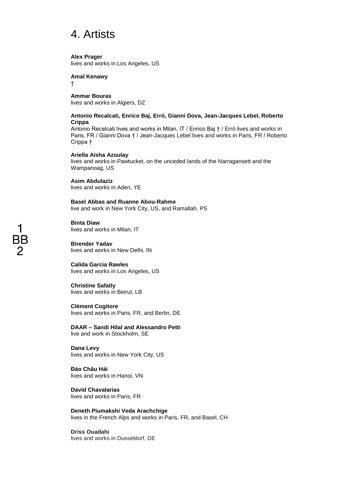## 4. Artists

**Alex Prager**

lives and works in Los Angeles, US

### **Amal Kenawy**

†

**Ammar Bouras** lives and works in Algiers, DZ

## **Antonio Recalcati, Enrico Baj, Erró, Gianni Dova, Jean-Jacques Lebel, Roberto Crippa**

Antonio Recalcati lives and works in Milan, IT / Enrico Baj † / Erró lives and works in Paris, FR / Gianni Dova † / Jean-Jacques Lebel lives and works in Paris, FR / Roberto Crippa †

## **Ariella Aïsha Azoulay**

lives and works in Pawtucket, on the unceded lands of the Narragansett and the Wampanoag, US

**Asim Abdulaziz** lives and works in Aden, YE

**Basel Abbas and Ruanne Abou-Rahme** live and work in New York City, US, and Ramallah, PS

**Binta Diaw** lives and works in Milan, IT

**Birender Yadav** lives and works in New Delhi, IN

**Calida Garcia Rawles** lives and works in Los Angeles, US

## **Christine Safatly**

lives and works in Beirut, LB

**Clément Cogitore** lives and works in Paris, FR, and Berlin, DE

**DAAR – Sandi Hilal and Alessandro Petti** live and work in Stockholm, SE

**Dana Levy** lives and works in New York City, US

**Đào Châu Hải** lives and works in Hanoi, VN

**David Chavalarias** lives and works in Paris, FR

**Deneth Piumakshi Veda Arachchige** lives in the French Alps and works in Paris, FR, and Basel, CH

**Driss Ouadahi** lives and works in Dusseldorf, DE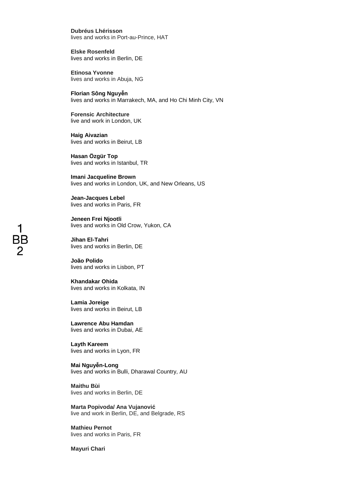**Dubréus Lhérisson** lives and works in Port-au-Prince, HAT

**Elske Rosenfeld** lives and works in Berlin, DE

**Etinosa Yvonne** lives and works in Abuja, NG

**Florian Sông Nguyễn** lives and works in Marrakech, MA, and Ho Chi Minh City, VN

**Forensic Architecture** live and work in London, UK

**Haig Aivazian** lives and works in Beirut, LB

**Hasan Özgür Top** lives and works in Istanbul, TR

**Imani Jacqueline Brown** lives and works in London, UK, and New Orleans, US

**Jean-Jacques Lebel** lives and works in Paris, FR

**Jeneen Frei Njootli** lives and works in Old Crow, Yukon, CA

**Jihan El-Tahri** lives and works in Berlin, DE

**João Polido** lives and works in Lisbon, PT

**Khandakar Ohida** lives and works in Kolkata, IN

**Lamia Joreige** lives and works in Beirut, LB

**Lawrence Abu Hamdan** lives and works in Dubai, AE

**Layth Kareem** lives and works in Lyon, FR

**Mai Nguyễn-Long** lives and works in Bulli, Dharawal Country, AU

**Maithu Bùi** lives and works in Berlin, DE

**Marta Popivoda/ Ana Vujanović** live and work in Berlin, DE, and Belgrade, RS

**Mathieu Pernot** lives and works in Paris, FR

**Mayuri Chari**

# BB 2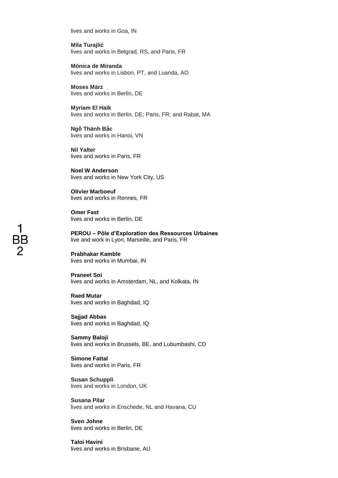lives and works in Goa, IN

**Mila Turajlić** lives and works in Belgrad, RS, and Paris, FR

**Mónica de Miranda** lives and works in Lisbon, PT, and Luanda, AO

**Moses März** lives and works in Berlin, DE

**Myriam El Haïk** lives and works in Berlin, DE; Paris, FR; and Rabat, MA

**Ngô Thành Bắc** lives and works in Hanoi, VN

**Nil Yalter** lives and works in Paris, FR

**Noel W Anderson** lives and works in New York City, US

**Olivier Marboeuf** lives and works in Rennes, FR

**Omer Fast** lives and works in Berlin, DE

**PEROU – Pôle d'Exploration des Ressources Urbaines** live and work in Lyon, Marseille, and Paris, FR

**Prabhakar Kamble** lives and works in Mumbai, IN

**Praneet Soi** lives and works in Amsterdam, NL, and Kolkata, IN

**Raed Mutar** lives and works in Baghdad, IQ

**Sajjad Abbas** lives and works in Baghdad, IQ

**Sammy Baloji** lives and works in Brussels, BE, and Lubumbashi, CD

**Simone Fattal** lives and works in Paris, FR

**Susan Schuppli** lives and works in London, UK

**Susana Pilar** lives and works in Enschede, NL and Havana, CU

**Sven Johne** lives and works in Berlin, DE

**Taloi Havini** lives and works in Brisbane, AU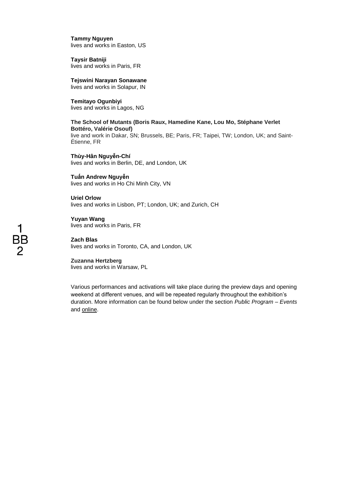**Tammy Nguyen** lives and works in Easton, US

**Taysir Batniji** lives and works in Paris, FR

**Tejswini Narayan Sonawane** lives and works in Solapur, IN

**Temitayo Ogunbiyi** lives and works in Lagos, NG

## **The School of Mutants (Boris Raux, Hamedine Kane, Lou Mo, Stéphane Verlet Bottéro, Valérie Osouf)**

live and work in Dakar, SN; Brussels, BE; Paris, FR; Taipei, TW; London, UK; and Saint-Étienne, FR

**Thùy-Hân Nguyễn-Chí** lives and works in Berlin, DE, and London, UK

**Tuấn Andrew Nguyễn** lives and works in Ho Chi Minh City, VN

**Uriel Orlow** lives and works in Lisbon, PT; London, UK; and Zurich, CH

**Yuyan Wang** lives and works in Paris, FR

**Zach Blas** lives and works in Toronto, CA, and London, UK

## **Zuzanna Hertzberg**

lives and works in Warsaw, PL

Various performances and activations will take place during the preview days and opening weekend at different venues, and will be repeated regularly throughout the exhibition's duration. More information can be found below under the section *Public Program – Events* and [online.](https://12.berlinbiennale.de/program)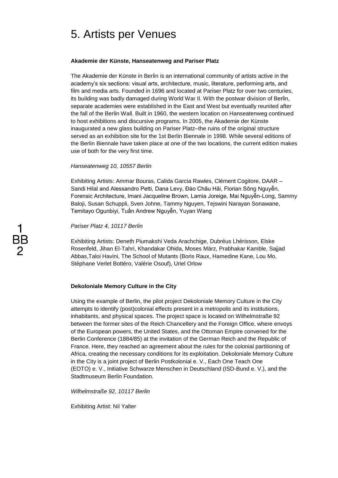## 5. Artists per Venues

## **Akademie der Künste, Hanseatenweg and Pariser Platz**

The Akademie der Künste in Berlin is an international community of artists active in the academy's six sections: visual arts, architecture, music, literature, performing arts, and film and media arts. Founded in 1696 and located at Pariser Platz for over two centuries, its building was badly damaged during World War II. With the postwar division of Berlin, separate academies were established in the East and West but eventually reunited after the fall of the Berlin Wall. Built in 1960, the western location on Hanseatenweg continued to host exhibitions and discursive programs. In 2005, the Akademie der Künste inaugurated a new glass building on Pariser Platz–the ruins of the original structure served as an exhibition site for the 1st Berlin Biennale in 1998. While several editions of the Berlin Biennale have taken place at one of the two locations, the current edition makes use of both for the very first time.

## *Hanseatenweg 10, 10557 Berlin*

Exhibiting Artists: Ammar Bouras, Calida Garcia Rawles, Clément Cogitore, DAAR – Sandi Hilal and Alessandro Petti, Dana Levy, Đào Châu Hải, Florian Sông Nguyễn, Forensic Architecture, Imani Jacqueline Brown, Lamia Joreige, Mai Nguyễn-Long, Sammy Baloji, Susan Schuppli, Sven Johne, Tammy Nguyen, Tejswini Narayan Sonawane, Temitayo Ogunbiyi, Tuấn Andrew Nguyễn, Yuyan Wang

*Pariser Platz 4, 10117 Berlin*

Exhibiting Artists: Deneth Piumakshi Veda Arachchige, Dubréus Lhérisson, Elske Rosenfeld, Jihan El-Tahri, Khandakar Ohida, Moses März, Prabhakar Kamble, Sajjad Abbas,Taloi Havini, The School of Mutants (Boris Raux, Hamedine Kane, Lou Mo, Stéphane Verlet Bottéro, Valérie Osouf), Uriel Orlow

## **Dekoloniale Memory Culture in the City**

Using the example of Berlin, the pilot project Dekoloniale Memory Culture in the City attempts to identify (post)colonial effects present in a metropolis and its institutions, inhabitants, and physical spaces. The project space is located on Wilhelmstraße 92 between the former sites of the Reich Chancellery and the Foreign Office, where envoys of the European powers, the United States, and the Ottoman Empire convened for the Berlin Conference (1884/85) at the invitation of the German Reich and the Republic of France. Here, they reached an agreement about the rules for the colonial partitioning of Africa, creating the necessary conditions for its exploitation. Dekoloniale Memory Culture in the City is a joint project of Berlin Postkolonial e. V., Each One Teach One (EOTO) e. V., Initiative Schwarze Menschen in Deutschland (ISD-Bund e. V.), and the Stadtmuseum Berlin Foundation.

*Wilhelmstraße 92, 10117 Berlin* 

Exhibiting Artist: Nil Yalter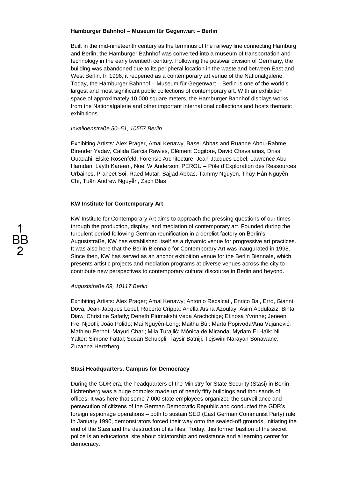## **Hamburger Bahnhof – Museum für Gegenwart – Berlin**

Built in the mid-nineteenth century as the terminus of the railway line connecting Hamburg and Berlin, the Hamburger Bahnhof was converted into a museum of transportation and technology in the early twentieth century. Following the postwar division of Germany, the building was abandoned due to its peripheral location in the wasteland between East and West Berlin. In 1996, it reopened as a contemporary art venue of the Nationalgalerie. Today, the Hamburger Bahnhof – Museum für Gegenwart – Berlin is one of the world's largest and most significant public collections of contemporary art. With an exhibition space of approximately 10,000 square meters, the Hamburger Bahnhof displays works from the Nationalgalerie and other important international collections and hosts thematic exhibitions.

### *Invalidenstraße 50–51, 10557 Berlin*

Exhibiting Artists: Alex Prager, Amal Kenawy, Basel Abbas and Ruanne Abou-Rahme, Birender Yadav, Calida Garcia Rawles, Clément Cogitore, David Chavalarias, Driss Ouadahi, Elske Rosenfeld, Forensic Architecture, Jean-Jacques Lebel, Lawrence Abu Hamdan, Layth Kareem, Noel W Anderson, PEROU – Pôle d'Exploration des Ressources Urbaines, Praneet Soi, Raed Mutar, Sajjad Abbas, Tammy Nguyen, Thùy-Hân Nguyễn-Chí, Tuấn Andrew Nguyễn, Zach Blas

## **KW Institute for Contemporary Art**

KW Institute for Contemporary Art aims to approach the pressing questions of our times through the production, display, and mediation of contemporary art. Founded during the turbulent period following German reunification in a derelict factory on Berlin's Auguststraße, KW has established itself as a dynamic venue for progressive art practices. It was also here that the Berlin Biennale for Contemporary Art was inaugurated in 1998. Since then, KW has served as an anchor exhibition venue for the Berlin Biennale, which presents artistic projects and mediation programs at diverse venues across the city to contribute new perspectives to contemporary cultural discourse in Berlin and beyond.

## *Auguststraße 69, 10117 Berlin*

Exhibiting Artists: Alex Prager; Amal Kenawy; Antonio Recalcati, Enrico Baj, Erró, Gianni Dova, Jean-Jacques Lebel, Roberto Crippa; Ariella Aïsha Azoulay; Asim Abdulaziz; Binta Diaw; Christine Safatly; Deneth Piumakshi Veda Arachchige; Etinosa Yvonne; Jeneen Frei Njootli; João Polido; Mai Nguyễn-Long; Maithu Bùi; Marta Popivoda/Ana Vujanović; Mathieu Pernot; Mayuri Chari; Mila Turajlić; Mónica de Miranda; Myriam El Haïk; Nil Yalter; Simone Fattal; Susan Schuppli; Taysir Batniji; Tejswini Narayan Sonawane; Zuzanna Hertzberg

## **Stasi Headquarters. Campus for Democracy**

During the GDR era, the headquarters of the Ministry for State Security (Stasi) in Berlin-Lichtenberg was a huge complex made up of nearly fifty buildings and thousands of offices. It was here that some 7,000 state employees organized the surveillance and persecution of citizens of the German Democratic Republic and conducted the GDR's foreign espionage operations – both to sustain SED (East German Communist Party) rule. In January 1990, demonstrators forced their way onto the sealed-off grounds, initiating the end of the Stasi and the destruction of its files. Today, this former bastion of the secret police is an educational site about dictatorship and resistance and a learning center for democracy.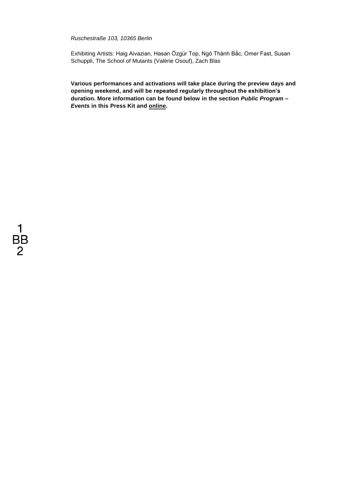### *Ruschestraße 103, 10365 Berlin*

Exhibiting Artists: Haig Aivazian, Hasan Özgür Top, Ngô Thành Bắc, Omer Fast, Susan Schuppli, The School of Mutants (Valérie Osouf), Zach Blas

**Various performances and activations will take place during the preview days and opening weekend, and will be repeated regularly throughout the exhibition's duration. More information can be found below in the section** *Public Program – Events* **in this Press Kit and [online.](https://12.berlinbiennale.de/program)**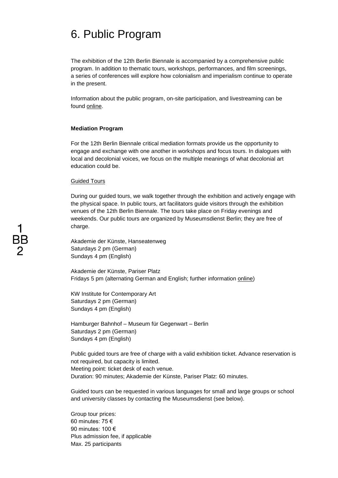## 6. Public Program

The exhibition of the 12th Berlin Biennale is accompanied by a comprehensive public program. In addition to thematic tours, workshops, performances, and film screenings, a series of conferences will explore how colonialism and imperialism continue to operate in the present.

Information about the public program, on-site participation, and livestreaming can be found online.

#### **Mediation Program**

For the 12th Berlin Biennale critical mediation formats provide us the opportunity to engage and exchange with one another in workshops and focus tours. In dialogues with local and decolonial voices, we focus on the multiple meanings of what decolonial art education could be.

#### Guided Tours

During our guided tours, we walk together through the exhibition and actively engage with the physical space. In public tours, art facilitators guide visitors through the exhibition venues of the 12th Berlin Biennale. The tours take place on Friday evenings and weekends. Our public tours are organized by Museumsdienst Berlin; they are free of charge.

Akademie der Künste, Hanseatenweg Saturdays 2 pm (German) Sundays 4 pm (English)

Akademie der Künste, Pariser Platz Fridays 5 pm (alternating German and English; further information [online\)](https://12.berlinbiennale.de/visit/guided-tours/)

KW Institute for Contemporary Art Saturdays 2 pm (German) Sundays 4 pm (English)

Hamburger Bahnhof – Museum für Gegenwart – Berlin Saturdays 2 pm (German) Sundays 4 pm (English)

Public guided tours are free of charge with a valid exhibition ticket. Advance reservation is not required, but capacity is limited. Meeting point: ticket desk of each venue. Duration: 90 minutes; Akademie der Künste, Pariser Platz: 60 minutes.

Guided tours can be requested in various languages for small and large groups or school and university classes by contacting the Museumsdienst (see below).

Group tour prices: 60 minutes: 75 € 90 minutes: 100 € Plus admission fee, if applicable Max. 25 participants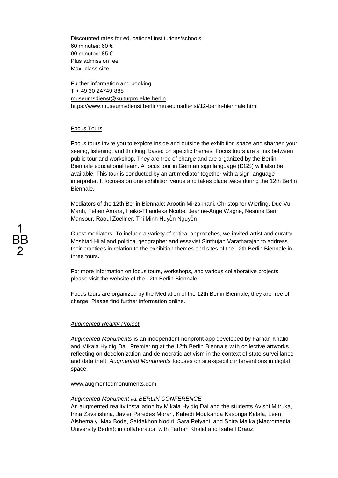Discounted rates for educational institutions/schools: 60 minutes: 60 € 90 minutes: 85 € Plus admission fee Max. class size

Further information and booking: T + 49 30 24749-888 [museumsdienst@kulturprojekte.berlin](mailto:museumsdienst@kulturprojekte.berlin) <https://www.museumsdienst.berlin/museumsdienst/12-berlin-biennale.html>

## Focus Tours

Focus tours invite you to explore inside and outside the exhibition space and sharpen your seeing, listening, and thinking, based on specific themes. Focus tours are a mix between public tour and workshop. They are free of charge and are organized by the Berlin Biennale educational team. A focus tour in German sign language (DGS) will also be available. This tour is conducted by an art mediator together with a sign language interpreter. It focuses on one exhibition venue and takes place twice during the 12th Berlin Biennale.

Mediators of the 12th Berlin Biennale: Arootin Mirzakhani, Christopher Wierling, Duc Vu Manh, Feben Amara, Heiko-Thandeka Ncube, Jeanne-Ange Wagne, Nesrine Ben Mansour, Raoul Zoellner, Thị Minh Huyền Nguyễn

Guest mediators: To include a variety of critical approaches, we invited artist and curator Moshtari Hilal and political geographer and essayist Sinthujan Varatharajah to address their practices in relation to the exhibition themes and sites of the 12th Berlin Biennale in three tours.

For more information on focus tours, workshops, and various collaborative projects, please visit the website of the 12th Berlin Biennale.

Focus tours are organized by the Mediation of the 12th Berlin Biennale; they are free of charge. Please find further information [online.](https://12.berlinbiennale.de/program/filter/format:focus-tour)

#### *Augmented Reality Project*

*Augmented Monuments* is an independent nonprofit app developed by Farhan Khalid and Mikala Hyldig Dal. Premiering at the 12th Berlin Biennale with collective artworks reflecting on decolonization and democratic activism in the context of state surveillance and data theft, *Augmented Monuments* focuses on site-specific interventions in digital space.

#### [www.augmentedmonuments.com](http://www.augmentedmonuments.com/)

#### *Augmented Monument #1 BERLIN CONFERENCE*

An augmented reality installation by Mikala Hyldig Dal and the students Avishi Mitruka, Irina Zavalishina, Javier Paredes Moran, Kabedi Moukanda Kasonga Kalala, Leen Alshemaly, Max Bode, Saidakhon Nodiri, Sara Pelyani, and Shira Malka (Macromedia University Berlin); in collaboration with Farhan Khalid and Isabell Drauz.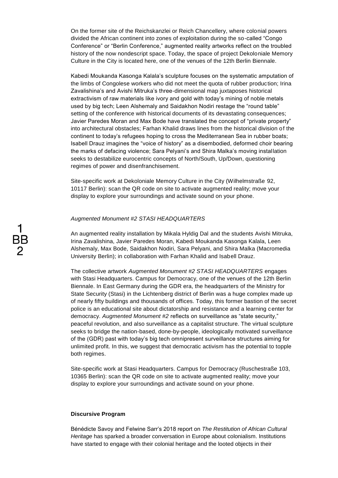On the former site of the Reichskanzlei or Reich Chancellery, where colonial powers divided the African continent into zones of exploitation during the so-called "Congo Conference" or "Berlin Conference," augmented reality artworks reflect on the troubled history of the now nondescript space. Today, the space of project Dekoloniale Memory Culture in the City is located here, one of the venues of the 12th Berlin Biennale.

Kabedi Moukanda Kasonga Kalala's sculpture focuses on the systematic amputation of the limbs of Congolese workers who did not meet the quota of rubber production; Irina Zavalishina's and Avishi Mitruka's three-dimensional map juxtaposes historical extractivism of raw materials like ivory and gold with today's mining of noble metals used by big tech; Leen Alshemaly and Saidakhon Nodiri restage the "round table" setting of the conference with historical documents of its devastating consequences; Javier Paredes Moran and Max Bode have translated the concept of "private property" into architectural obstacles; Farhan Khalid draws lines from the historical division of the continent to today's refugees hoping to cross the Mediterranean Sea in rubber boats; Isabell Drauz imagines the "voice of history" as a disembodied, deformed choir bearing the marks of defacing violence; Sara Pelyani's and Shira Malka's moving installation seeks to destabilize eurocentric concepts of North/South, Up/Down, questioning regimes of power and disenfranchisement.

Site-specific work at Dekoloniale Memory Culture in the City (Wilhelmstraße 92, 10117 Berlin): scan the QR code on site to activate augmented reality; move your display to explore your surroundings and activate sound on your phone.

#### *Augmented Monument #2 STASI HEADQUARTERS*

An augmented reality installation by Mikala Hyldig Dal and the students Avishi Mitruka, Irina Zavalishina, Javier Paredes Moran, Kabedi Moukanda Kasonga Kalala, Leen Alshemaly, Max Bode, Saidakhon Nodiri, Sara Pelyani, and Shira Malka (Macromedia University Berlin); in collaboration with Farhan Khalid and Isabell Drauz.

The collective artwork *Augmented Monument #2 STASI HEADQUARTERS* engages with Stasi Headquarters. Campus for Democracy, one of the venues of the 12th Berlin Biennale. In East Germany during the GDR era, the headquarters of the Ministry for State Security (Stasi) in the Lichtenberg district of Berlin was a huge complex made up of nearly fifty buildings and thousands of offices. Today, this former bastion of the secret police is an educational site about dictatorship and resistance and a learning center for democracy. *Augmented Monument #2* reflects on surveillance as "state security," peaceful revolution, and also surveillance as a capitalist structure. The virtual sculpture seeks to bridge the nation-based, done-by-people, ideologically motivated surveillance of the (GDR) past with today's big tech omnipresent surveillance structures aiming for unlimited profit. In this, we suggest that democratic activism has the potential to topple both regimes.

Site-specific work at Stasi Headquarters. Campus for Democracy (Ruschestraße 103, 10365 Berlin): scan the QR code on site to activate augmented reality; move your display to explore your surroundings and activate sound on your phone.

#### **Discursive Program**

Bénédicte Savoy and Felwine Sarr's 2018 report on *The Restitution of African Cultural Heritage* has sparked a broader conversation in Europe about colonialism. Institutions have started to engage with their colonial heritage and the looted objects in their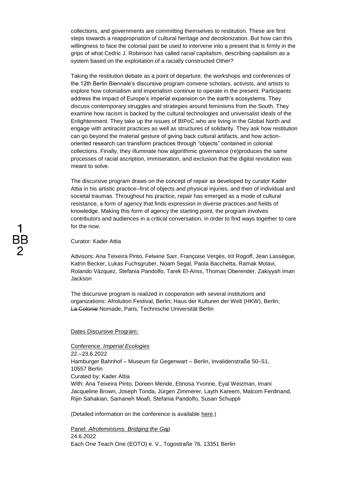collections, and governments are committing themselves to restitution. These are first steps towards a reappropriation of cultural heritage and decolonization. But how can this willingness to face the colonial past be used to intervene into a present that is firmly in the grips of what Cedric J. Robinson has called *racial capitalism*, describing capitalism as a system based on the exploitation of a racially constructed Other?

Taking the restitution debate as a point of departure, the workshops and conferences of the 12th Berlin Biennale's discursive program convene scholars, activists, and artists to explore how colonialism and imperialism continue to operate in the present. Participants address the impact of Europe's imperial expansion on the earth's ecosystems. They discuss contemporary struggles and strategies around feminisms from the South. They examine how racism is backed by the cultural technologies and universalist ideals of the Enlightenment. They take up the issues of BIPoC who are living in the Global North and engage with antiracist practices as well as structures of solidarity. They ask how restitution can go beyond the material gesture of giving back cultural artifacts, and how actionoriented research can transform practices through "objects" contained in colonial collections. Finally, they illuminate how algorithmic governance (re)produces the same processes of racial ascription, immiseration, and exclusion that the digital revolution was meant to solve.

The discursive program draws on the concept of repair as developed by curator Kader Attia in his artistic practice–first of objects and physical injuries, and then of individual and societal traumas. Throughout his practice, repair has emerged as a mode of cultural resistance, a form of agency that finds expression in diverse practices and fields of knowledge. Making this form of agency the starting point, the program involves contributors and audiences in a critical conversation, in order to find ways together to care for the now.

Curator: Kader Attia

Advisors: Ana Teixeira Pinto, Felwine Sarr, Françoise Vergès, Irit Rogoff, Jean Lassègue, Katrin Becker, Lukas Fuchsgruber, Noam Segal, Paola Bacchetta, Ramak Molavi, Rolando Vázquez, Stefania Pandolfo, Tarek El-Ariss, Thomas Oberender, Zakiyyah Iman **Jackson** 

The discursive program is realized in cooperation with several institutions and organizations: Afrolution Festival, Berlin; Haus der Kulturen der Welt (HKW), Berlin; La Colonie Nomade, Paris; Technische Universität Berlin

### Dates Discursive Program:

Conference: *Imperial Ecologies*

22.–23.6.2022 Hamburger Bahnhof – Museum für Gegenwart – Berlin, Invalidenstraße 50–51, 10557 Berlin Curated by: Kader Attia With: Ana Teixeira Pinto, Doreen Mende, Etinosa Yvonne, Eyal Weizman, Imani Jacqueline Brown, Joseph Tonda, Jürgen Zimmerer, Layth Kareem, Malcom Ferdinand, Rijin Sahakian, Samaneh Moafi, Stefania Pandolfo, Susan Schuppli

(Detailed information on the conference is available [here.](https://12.berlinbiennale.de/program/imperial-ecologies/))

Panel: *Afrofeminisms. Bridging the Gap* 24.6.2022 Each One Teach One (EOTO) e. V., Togostraße 76, 13351 Berlin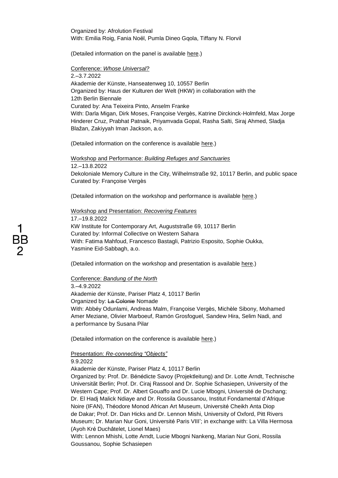Organized by: Afrolution Festival With: Emilia Roig, Fania Noël, Pumla Dineo Gqola, Tiffany N. Florvil

(Detailed information on the panel is available [here.](https://12.berlinbiennale.de/program/afrofeminisms-bridging-the-gap/))

Conference: *Whose Universal?* 2.–3.7.2022

Akademie der Künste, Hanseatenweg 10, 10557 Berlin Organized by: Haus der Kulturen der Welt (HKW) in collaboration with the 12th Berlin Biennale Curated by: Ana Teixeira Pinto, Anselm Franke With: Darla Migan, Dirk Moses, Françoise Vergès, Katrine Dirckinck-Holmfeld, Max Jorge Hinderer Cruz, Prabhat Patnaik, Priyamvada Gopal, Rasha Salti, Siraj Ahmed, Sladja Blažan, Zakiyyah Iman Jackson, a.o.

(Detailed information on the conference is available [here.](https://12.berlinbiennale.de/program/whose-universal/))

Workshop and Performance: *Building Refuges and Sanctuaries* 12.–13.8.2022 Dekoloniale Memory Culture in the City, Wilhelmstraße 92, 10117 Berlin, and public space Curated by: Françoise Vergès

(Detailed information on the workshop and performance is available [here.](https://12.berlinbiennale.de/program/building-refuges-and-sanctuaries-a-decolonial-feminist-antiracist-practice/))

Workshop and Presentation: *Recovering Features*

17.–19.8.2022 KW Institute for Contemporary Art, Auguststraße 69, 10117 Berlin Curated by: Informal Collective on Western Sahara With: Fatima Mahfoud, Francesco Bastagli, Patrizio Esposito, Sophie Oukka, Yasmine Eid-Sabbagh, a.o.

(Detailed information on the workshop and presentation is available [here.](https://12.berlinbiennale.de/program/recovering-features-necessita-dei-volti-5th-extension/))

Conference: *Bandung of the North*

3.–4.9.2022 Akademie der Künste, Pariser Platz 4, 10117 Berlin Organized by: La Colonie Nomade With: Abbéy Odunlami, Andreas Malm, Françoise Vergès, Michèle Sibony, Mohamed Amer Meziane, Olivier Marboeuf, Ramón Grosfoguel, Sandew Hira, Selim Nadi, and a performance by Susana Pilar

(Detailed information on the conference is available [here.](https://12.berlinbiennale.de/program/bandung-of-the-north/))

Presentation: *Re-connecting "Objects"*

9.9.2022

Akademie der Künste, Pariser Platz 4, 10117 Berlin

Organized by: Prof. Dr. Bénédicte Savoy (Projektleitung) and Dr. Lotte Arndt, Technische Universität Berlin; Prof. Dr. Ciraj Rassool and Dr. Sophie Schasiepen, University of the Western Cape; Prof. Dr. Albert Gouaffo and Dr. Lucie Mbogni, Université de Dschang; Dr. El Hadj Malick Ndiaye and Dr. Rossila Goussanou, Institut Fondamental d'Afrique Noire (IFAN), Théodore Monod African Art Museum, Université Cheikh Anta Diop de Dakar; Prof. Dr. Dan Hicks and Dr. Lennon Mishi, University of Oxford, Pitt Rivers Museum; Dr. Marian Nur Goni, Université Paris VIII'; in exchange with: La Villa Hermosa (Ayoh Kré Duchâtelet, Lionel Maes)

With: Lennon Mhishi, Lotte Arndt, Lucie Mbogni Nankeng, Marian Nur Goni, Rossila Goussanou, Sophie Schasiepen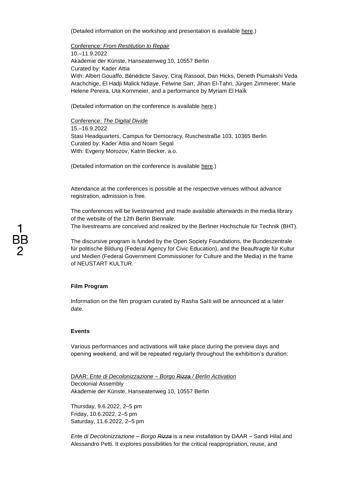(Detailed information on the workshop and presentation is available [here.](https://12.berlinbiennale.de/program/re-connecting-objects/))

Conference: *From Restitution to Repair*

10.–11.9.2022 Akademie der Künste, Hanseatenweg 10, 10557 Berlin Curated by: Kader Attia With: Albert Gouaffo, Bénédicte Savoy, Ciraj Rassool, Dan Hicks, Deneth Piumakshi Veda Arachchige, El Hadji Malick Ndiaye, Felwine Sarr, Jihan El-Tahri, Jürgen Zimmerer, Marie Helene Pereira, Uta Kornmeier, and a performance by Myriam El Haïk

(Detailed information on the conference is available [here.](https://12.berlinbiennale.de/program/from-restitution-to-repair/))

Conference: *The Digital Divide*

15.–16.9.2022 Stasi Headquarters. Campus for Democracy, Ruschestraße 103, 10365 Berlin Curated by: Kader Attia and Noam Segal With: Evgeny Morozov, Katrin Becker, a.o.

(Detailed information on the conference is available [here.](https://12.berlinbiennale.de/program/the-digital-divide/))

Attendance at the conferences is possible at the respective venues without advance registration, admission is free.

The conferences will be livestreamed and made available afterwards in the media library of the website of the 12th Berlin Biennale. The livestreams are conceived and realized by the Berliner Hochschule für Technik (BHT).

The discursive program is funded by the Open Society Foundations, the Bundeszentrale für politische Bildung (Federal Agency for Civic Education), and the Beauftragte für Kultur und Medien (Federal Government Commissioner for Culture and the Media) in the frame of NEUSTART KULTUR.

### **Film Program**

Information on the film program curated by Rasha Salti will be announced at a later date.

### **Events**

Various performances and activations will take place during the preview days and opening weekend, and will be repeated regularly throughout the exhibition's duration:

DAAR: *Ente di Decolonizzazione – Borgo Rizza / Berlin Activation* Decolonial Assembly Akademie der Künste, Hanseatenweg 10, 10557 Berlin

Thursday, 9.6.2022, 2–5 pm Friday, 10.6.2022, 2–5 pm Saturday, 11.6.2022, 2–5 pm

*Ente di Decolonizzazione – Borgo Rizza* is a new installation by DAAR – Sandi Hilal and Alessandro Petti. It explores possibilities for the critical reappropriation, reuse, and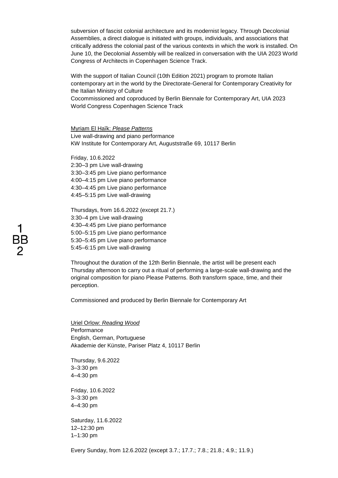subversion of fascist colonial architecture and its modernist legacy. Through Decolonial Assemblies, a direct dialogue is initiated with groups, individuals, and associations that critically address the colonial past of the various contexts in which the work is installed. On June 10, the Decolonial Assembly will be realized in conversation with the UIA 2023 World Congress of Architects in Copenhagen Science Track.

With the support of Italian Council (10th Edition 2021) program to promote Italian contemporary art in the world by the Directorate-General for Contemporary Creativity for the Italian Ministry of Culture Cocommissioned and coproduced by Berlin Biennale for Contemporary Art, UIA 2023 World Congress Copenhagen Science Track

Myriam El Haïk: *Please Patterns* Live wall-drawing and piano performance KW Institute for Contemporary Art, Auguststraße 69, 10117 Berlin

Friday, 10.6.2022 2:30–3 pm Live wall-drawing 3:30–3:45 pm Live piano performance 4:00–4:15 pm Live piano performance 4:30–4:45 pm Live piano performance 4:45–5:15 pm Live wall-drawing

Thursdays, from 16.6.2022 (except 21.7.) 3:30–4 pm Live wall-drawing 4:30–4:45 pm Live piano performance 5:00–5:15 pm Live piano performance 5:30–5:45 pm Live piano performance 5:45–6:15 pm Live wall-drawing

Throughout the duration of the 12th Berlin Biennale, the artist will be present each Thursday afternoon to carry out a ritual of performing a large-scale wall-drawing and the original composition for piano Please Patterns. Both transform space, time, and their perception.

Commissioned and produced by Berlin Biennale for Contemporary Art

Uriel Orlow: *Reading Wood* **Performance** English, German, Portuguese Akademie der Künste, Pariser Platz 4, 10117 Berlin

Thursday, 9.6.2022 3–3:30 pm 4–4:30 pm

Friday, 10.6.2022 3–3:30 pm 4–4:30 pm

Saturday, 11.6.2022 12–12:30 pm 1–1:30 pm

Every Sunday, from 12.6.2022 (except 3.7.; 17.7.; 7.8.; 21.8.; 4.9.; 11.9.)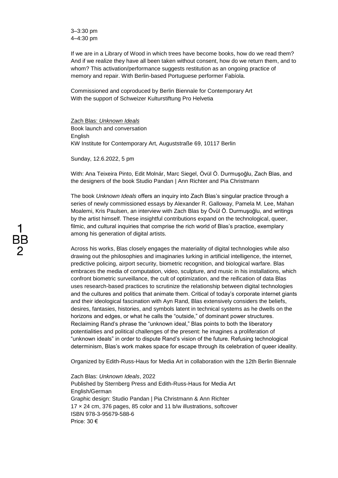3–3:30 pm 4–4:30 pm

If we are in a Library of Wood in which trees have become books, how do we read them? And if we realize they have all been taken without consent, how do we return them, and to whom? This activation/performance suggests restitution as an ongoing practice of memory and repair. With Berlin-based Portuguese performer Fabíola.

Commissioned and coproduced by Berlin Biennale for Contemporary Art With the support of Schweizer Kulturstiftung Pro Helvetia

Zach Blas: *Unknown Ideals* Book launch and conversation **English** KW Institute for Contemporary Art, Auguststraße 69, 10117 Berlin

Sunday, 12.6.2022, 5 pm

With: Ana Teixeira Pinto, Edit Molnár, Marc Siegel, Övül Ö. Durmuşoğlu, Zach Blas, and the designers of the book Studio Pandan | Ann Richter and Pia Christmann

The book *Unknown Ideals* offers an inquiry into Zach Blas's singular practice through a series of newly commissioned essays by Alexander R. Galloway, Pamela M. Lee, Mahan Moalemi, Kris Paulsen, an interview with Zach Blas by Övül Ö. Durmuşoğlu, and writings by the artist himself. These insightful contributions expand on the technological, queer, filmic, and cultural inquiries that comprise the rich world of Blas's practice, exemplary among his generation of digital artists.

Across his works, Blas closely engages the materiality of digital technologies while also drawing out the philosophies and imaginaries lurking in artificial intelligence, the internet, predictive policing, airport security, biometric recognition, and biological warfare. Blas embraces the media of computation, video, sculpture, and music in his installations, which confront biometric surveillance, the cult of optimization, and the reification of data Blas uses research-based practices to scrutinize the relationship between digital technologies and the cultures and politics that animate them. Critical of today's corporate internet giants and their ideological fascination with Ayn Rand, Blas extensively considers the beliefs, desires, fantasies, histories, and symbols latent in technical systems as he dwells on the horizons and edges, or what he calls the "outside," of dominant power structures. Reclaiming Rand's phrase the "unknown ideal," Blas points to both the liberatory potentialities and political challenges of the present: he imagines a proliferation of "unknown ideals" in order to dispute Rand's vision of the future. Refusing technological determinism, Blas's work makes space for escape through its celebration of queer ideality.

Organized by Edith-Russ-Haus for Media Art in collaboration with the 12th Berlin Biennale

Zach Blas: *Unknown Ideals*, 2022 Published by Sternberg Press and Edith-Russ-Haus for Media Art English/German Graphic design: Studio Pandan | Pia Christmann & Ann Richter 17 × 24 cm, 376 pages, 85 color and 11 b/w illustrations, softcover ISBN 978-3-95679-588-6 Price: 30 €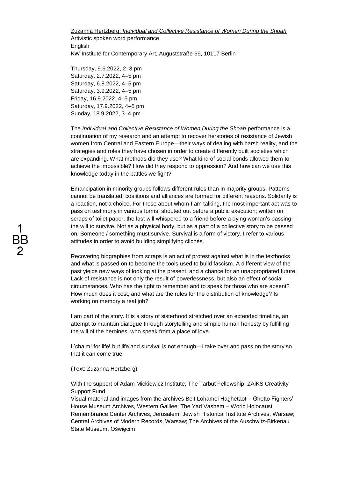Zuzanna Hertzberg: *Individual and Collective Resistance of Women During the Shoah* Artivistic spoken word performance English KW Institute for Contemporary Art, Auguststraße 69, 10117 Berlin

Thursday, 9.6.2022, 2–3 pm Saturday, 2.7.2022, 4–5 pm Saturday, 6.8.2022, 4–5 pm Saturday, 3.9.2022, 4–5 pm Friday, 16.9.2022, 4–5 pm Saturday, 17.9.2022, 4–5 pm Sunday, 18.9.2022, 3–4 pm

The *Individual and Collective Resistance of Women During the Shoah* performance is a continuation of my research and an attempt to recover herstories of resistance of Jewish women from Central and Eastern Europe—their ways of dealing with harsh reality, and the strategies and roles they have chosen in order to create differently built societies which are expanding. What methods did they use? What kind of social bonds allowed them to achieve the impossible? How did they respond to oppression? And how can we use this knowledge today in the battles we fight?

Emancipation in minority groups follows different rules than in majority groups. Patterns cannot be translated; coalitions and alliances are formed for different reasons. Solidarity is a reaction, not a choice. For those about whom I am talking, the most important act was to pass on testimony in various forms: shouted out before a public execution; written on scraps of toilet paper; the last will whispered to a friend before a dying woman's passing the will to survive. Not as a physical body, but as a part of a collective story to be passed on. Someone / something must survive. Survival is a form of victory. I refer to various attitudes in order to avoid building simplifying clichés.

Recovering biographies from scraps is an act of protest against what is in the textbooks and what is passed on to become the tools used to build fascism. A different view of the past yields new ways of looking at the present, and a chance for an unappropriated future. Lack of resistance is not only the result of powerlessness, but also an effect of social circumstances. Who has the right to remember and to speak for those who are absent? How much does it cost, and what are the rules for the distribution of knowledge? Is working on memory a real job?

I am part of the story. It is a story of sisterhood stretched over an extended timeline, an attempt to maintain dialogue through storytelling and simple human honesty by fulfilling the will of the heroines, who speak from a place of love.

L'chaim! for life! but life and survival is not enough—I take over and pass on the story so that it can come true.

## (Text: Zuzanna Hertzberg)

With the support of Adam Mickiewicz Institute; The Tarbut Fellowship; ZAiKS Creativity Support Fund

Visual material and images from the archives Beit Lohamei Haghetaot – Ghetto Fighters' House Museum Archives, Western Galilee; The Yad Vashem – World Holocaust Remembrance Center Archives, Jerusalem; Jewish Historical Institute Archives, Warsaw; Central Archives of Modern Records, Warsaw; The Archives of the Auschwitz-Birkenau State Museum, Oświęcim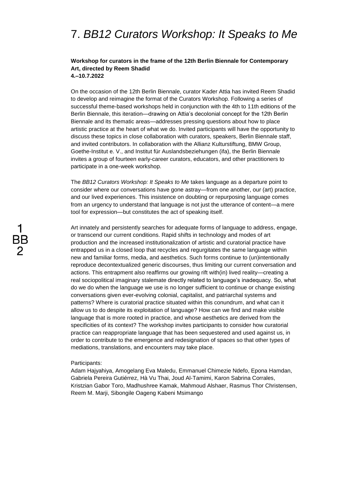## 7. *BB12 Curators Workshop: It Speaks to Me*

## **Workshop for curators in the frame of the 12th Berlin Biennale for Contemporary Art, directed by Reem Shadid 4.–10.7.2022**

On the occasion of the 12th Berlin Biennale, curator Kader Attia has invited Reem Shadid to develop and reimagine the format of the Curators Workshop. Following a series of successful theme-based workshops held in conjunction with the 4th to 11th editions of the Berlin Biennale, this iteration—drawing on Attia's decolonial concept for the 12th Berlin Biennale and its thematic areas—addresses pressing questions about how to place artistic practice at the heart of what we do. Invited participants will have the opportunity to discuss these topics in close collaboration with curators, speakers, Berlin Biennale staff, and invited contributors. In collaboration with the Allianz Kulturstiftung, BMW Group, Goethe-Institut e. V., and Institut für Auslandsbeziehungen (ifa), the Berlin Biennale invites a group of fourteen early-career curators, educators, and other practitioners to participate in a one-week workshop.

The *BB12 Curators Workshop: It Speaks to Me* takes language as a departure point to consider where our conversations have gone astray—from one another, our (art) practice, and our lived experiences. This insistence on doubting or repurposing language comes from an urgency to understand that language is not just the utterance of content—a mere tool for expression—but constitutes the act of speaking itself.

Art innately and persistently searches for adequate forms of language to address, engage, or transcend our current conditions. Rapid shifts in technology and modes of art production and the increased institutionalization of artistic and curatorial practice have entrapped us in a closed loop that recycles and regurgitates the same language within new and familiar forms, media, and aesthetics. Such forms continue to (un)intentionally reproduce decontextualized generic discourses, thus limiting our current conversation and actions. This entrapment also reaffirms our growing rift with(in) lived reality—creating a real sociopolitical imaginary stalemate directly related to language's inadequacy. So, what do we do when the language we use is no longer sufficient to continue or change existing conversations given ever-evolving colonial, capitalist, and patriarchal systems and patterns? Where is curatorial practice situated within this conundrum, and what can it allow us to do despite its exploitation of language? How can we find and make visible language that is more rooted in practice, and whose aesthetics are derived from the specificities of its context? The workshop invites participants to consider how curatorial practice can reappropriate language that has been sequestered and used against us, in order to contribute to the emergence and redesignation of spaces so that other types of mediations, translations, and encounters may take place.

#### Participants:

Adam Hajyahiya, Amogelang Eva Maledu, Emmanuel Chimezie Ndefo, Epona Hamdan, Gabriela Pereira Gutiérrez, Hà Vu Thai, Joud Al-Tamimi, Karon Sabrina Corrales, Kristzian Gabor Toro, Madhushree Kamak, Mahmoud Alshaer, Rasmus Thor Christensen, Reem M. Marji, Sibongile Oageng Kabeni Msimango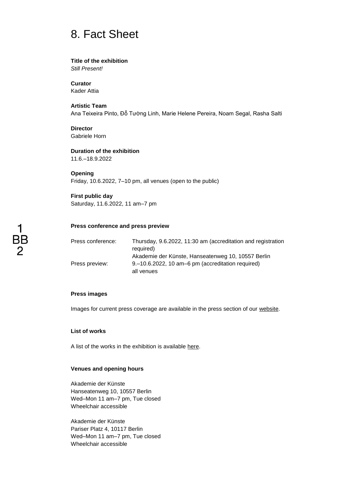## 8. Fact Sheet

### **Title of the exhibition**

*Still Present!*

**Curator** Kader Attia

## **Artistic Team**

Ana Teixeira Pinto, Đỗ Tường Linh, Marie Helene Pereira, Noam Segal, Rasha Salti

**Director** Gabriele Horn

**Duration of the exhibition** 11.6.–18.9.2022

**Opening** Friday, 10.6.2022, 7–10 pm, all venues (open to the public)

## **First public day**

Saturday, 11.6.2022, 11 am–7 pm

## **Press conference and press preview**

| Press conference: | Thursday, 9.6.2022, 11:30 am (accreditation and registration |
|-------------------|--------------------------------------------------------------|
|                   | required)                                                    |
|                   | Akademie der Künste, Hanseatenweg 10, 10557 Berlin           |
| Press preview:    | 9.–10.6.2022, 10 am–6 pm (accreditation required)            |
|                   | all venues                                                   |

### **Press images**

Images for current press coverage are available in the press section of our website.

### **List of works**

A list of the works in the exhibition is available here.

### **Venues and opening hours**

Akademie der Künste Hanseatenweg 10, 10557 Berlin Wed–Mon 11 am–7 pm, Tue closed Wheelchair accessible

Akademie der Künste Pariser Platz 4, 10117 Berlin Wed–Mon 11 am–7 pm, Tue closed Wheelchair accessible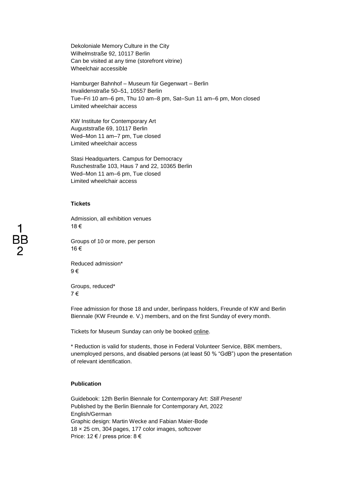Dekoloniale Memory Culture in the City Wilhelmstraße 92, 10117 Berlin Can be visited at any time (storefront vitrine) Wheelchair accessible

Hamburger Bahnhof – Museum für Gegenwart – Berlin Invalidenstraße 50–51, 10557 Berlin Tue–Fri 10 am–6 pm, Thu 10 am–8 pm, Sat–Sun 11 am–6 pm, Mon closed Limited wheelchair access

KW Institute for Contemporary Art Auguststraße 69, 10117 Berlin Wed–Mon 11 am–7 pm, Tue closed Limited wheelchair access

Stasi Headquarters. Campus for Democracy Ruschestraße 103, Haus 7 and 22, 10365 Berlin Wed–Mon 11 am–6 pm, Tue closed Limited wheelchair access

## **Tickets**

Admission, all exhibition venues 18 €

Groups of 10 or more, per person 16 €

Reduced admission\* 9 €

Groups, reduced\* 7 €

Free admission for those 18 and under, berlinpass holders, Freunde of KW and Berlin Biennale (KW Freunde e. V.) members, and on the first Sunday of every month.

Tickets for Museum Sunday can only be booked [online.](https://shop.museumssonntag.berlin/#/tickets/time?group=timeSlot)

\* Reduction is valid for students, those in Federal Volunteer Service, BBK members, unemployed persons, and disabled persons (at least 50 % "GdB") upon the presentation of relevant identification.

## **Publication**

Guidebook: 12th Berlin Biennale for Contemporary Art: *Still Present!* Published by the Berlin Biennale for Contemporary Art, 2022 English/German Graphic design: Martin Wecke and Fabian Maier-Bode 18 × 25 cm, 304 pages, 177 color images, softcover Price: 12 € / press price: 8 €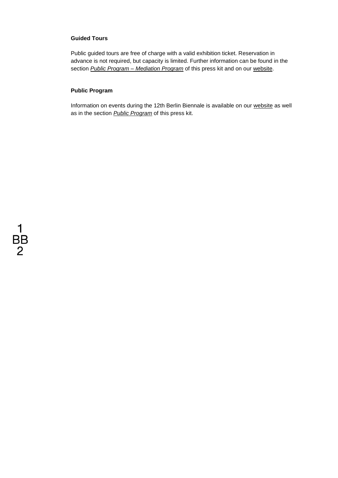## **Guided Tours**

Public guided tours are free of charge with a valid exhibition ticket. Reservation in advance is not required, but capacity is limited. Further information can be found in the section *Public Program – Mediation Program* of this press kit and on our [website.](https://12.berlinbiennale.de/program/filter/format:guided-tour)

## **Public Program**

Information on events during the 12th Berlin Biennale is available on our [website](https://12.berlinbiennale.de/about/projects/) as well as in the section *Public Program* of this press kit.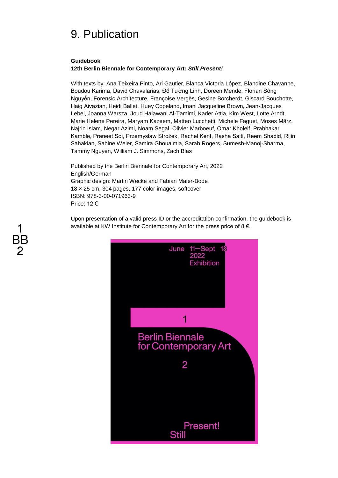## 9. Publication

## **Guidebook**

### **12th Berlin Biennale for Contemporary Art:** *Still Present!*

With texts by: Ana Teixeira Pinto, Ari Gautier, Blanca Victoria López, Blandine Chavanne, Boudou Karima, David Chavalarias, Đỗ Tường Linh, Doreen Mende, Florian Sông Nguyễn, Forensic Architecture, Françoise Vergès, Gesine Borcherdt, Giscard Bouchotte, Haig Aivazian, Heidi Ballet, Huey Copeland, Imani Jacqueline Brown, Jean-Jacques Lebel, Joanna Warsza, Joud Halawani Al-Tamimi, Kader Attia, Kim West, Lotte Arndt, Marie Helene Pereira, Maryam Kazeem, Matteo Lucchetti, Michele Faguet, Moses März, Najrin Islam, Negar Azimi, Noam Segal, Olivier Marboeuf, Omar Kholeif, Prabhakar Kamble, Praneet Soi, Przemysław Strożek, Rachel Kent, Rasha Salti, Reem Shadid, Rijin Sahakian, Sabine Weier, Samira Ghoualmia, Sarah Rogers, Sumesh-Manoj-Sharma, Tammy Nguyen, William J. Simmons, Zach Blas

Published by the Berlin Biennale for Contemporary Art, 2022 English/German Graphic design: Martin Wecke and Fabian Maier-Bode 18 × 25 cm, 304 pages, 177 color images, softcover ISBN: 978-3-00-071963-9 Price: 12 €

Upon presentation of a valid press ID or the accreditation confirmation, the guidebook is available at KW Institute for Contemporary Art for the press price of 8 €.



# BB 2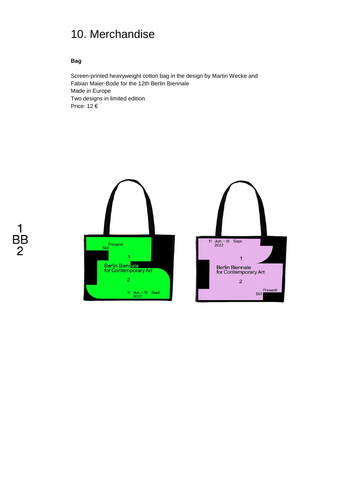## 10. Merchandise

## **Bag**

Screen-printed heavyweight cotton bag in the design by Martin Wecke and Fabian Maier-Bode for the 12th Berlin Biennale Made in Europe Two designs in limited edition Price: 12 €



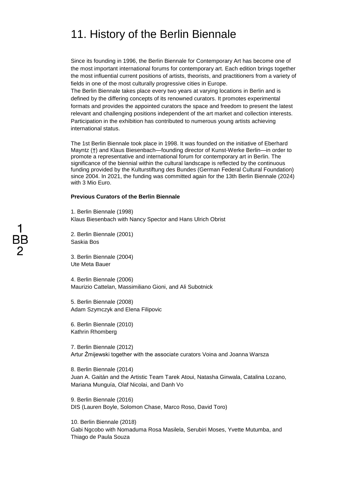## 11. History of the Berlin Biennale

Since its founding in 1996, the Berlin Biennale for Contemporary Art has become one of the most important international forums for contemporary art. Each edition brings together the most influential current positions of artists, theorists, and practitioners from a variety of fields in one of the most culturally progressive cities in Europe.

The Berlin Biennale takes place every two years at varying locations in Berlin and is defined by the differing concepts of its renowned curators. It promotes experimental formats and provides the appointed curators the space and freedom to present the latest relevant and challenging positions independent of the art market and collection interests. Participation in the exhibition has contributed to numerous young artists achieving international status.

The 1st Berlin Biennale took place in 1998. It was founded on the initiative of Eberhard Mayntz (†) and Klaus Biesenbach—founding director of Kunst-Werke Berlin—in order to promote a representative and international forum for contemporary art in Berlin. The significance of the biennial within the cultural landscape is reflected by the continuous funding provided by the Kulturstiftung des Bundes (German Federal Cultural Foundation) since 2004. In 2021, the funding was committed again for the 13th Berlin Biennale (2024) with 3 Mio Euro.

## **Previous Curators of the Berlin Biennale**

1. Berlin Biennale (1998) Klaus Biesenbach with Nancy Spector and Hans Ulrich Obrist

2. Berlin Biennale (2001) Saskia Bos

3. Berlin Biennale (2004) Ute Meta Bauer

4. Berlin Biennale (2006) Maurizio Cattelan, Massimiliano Gioni, and Ali Subotnick

5. Berlin Biennale (2008) Adam Szymczyk and Elena Filipovic

6. Berlin Biennale (2010) Kathrin Rhomberg

7. Berlin Biennale (2012) Artur Żmijewski together with the associate curators Voina and Joanna Warsza

8. Berlin Biennale (2014) Juan A. Gaitán and the Artistic Team Tarek Atoui, Natasha Ginwala, Catalina Lozano, Mariana Munguía, Olaf Nicolai, and Danh Vo

9. Berlin Biennale (2016) DIS (Lauren Boyle, Solomon Chase, Marco Roso, David Toro)

10. Berlin Biennale (2018) Gabi Ngcobo with Nomaduma Rosa Masilela, Serubiri Moses, Yvette Mutumba, and Thiago de Paula Souza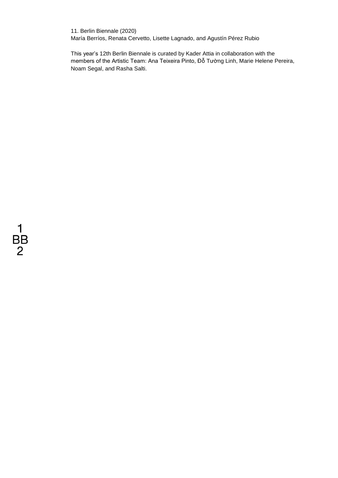11. Berlin Biennale (2020) María Berríos, Renata Cervetto, Lisette Lagnado, and Agustín Pérez Rubio

This year's 12th Berlin Biennale is curated by Kader Attia in collaboration with the members of the Artistic Team: Ana Teixeira Pinto, Đỗ Tường Linh, Marie Helene Pereira, Noam Segal, and Rasha Salti.